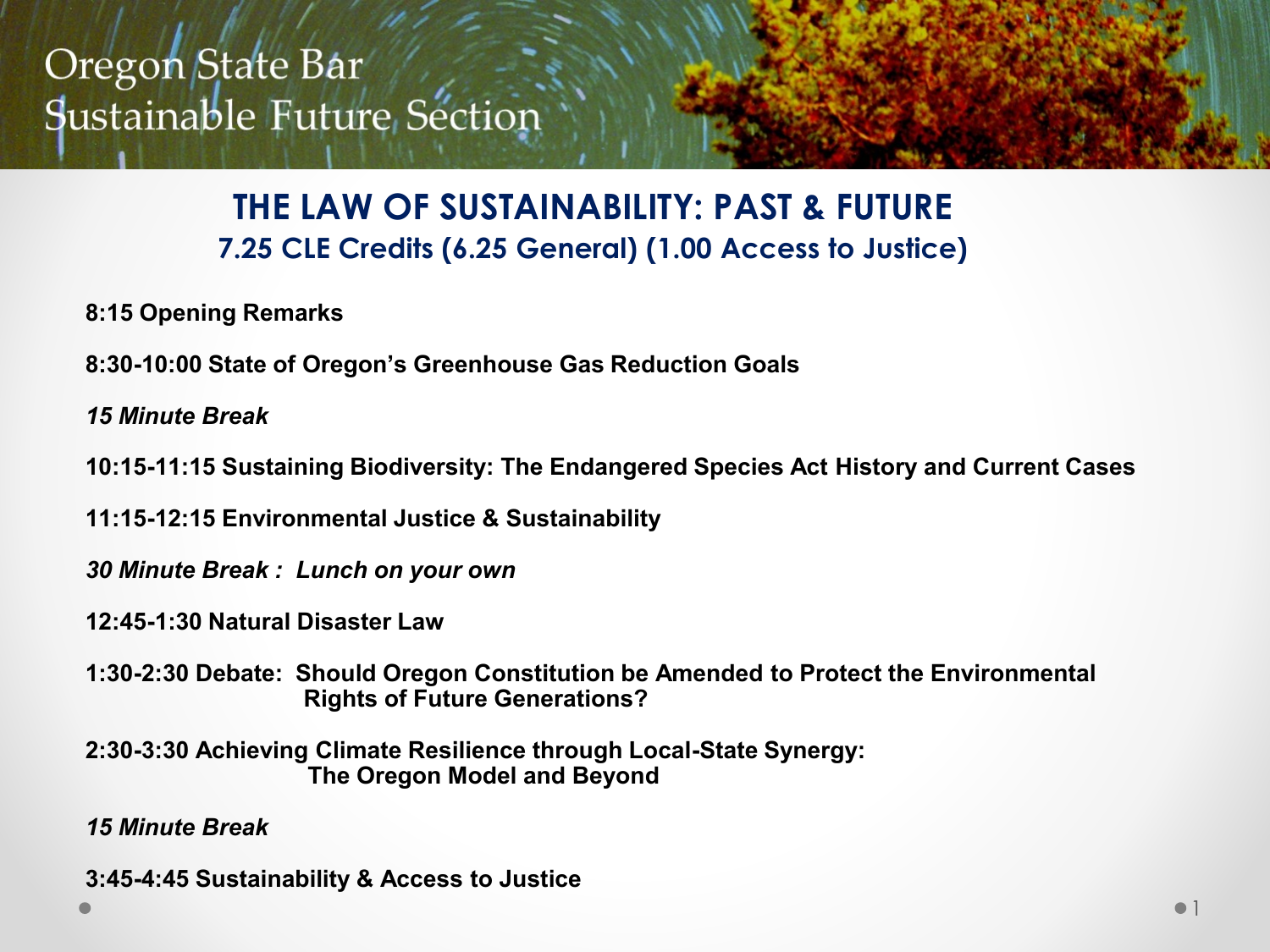#### **THE LAW OF SUSTAINABILITY: PAST & FUTURE 7.25 CLE Credits (6.25 General) (1.00 Access to Justice)**

- **8:15 Opening Remarks**
- **8:30-10:00 State of Oregon's Greenhouse Gas Reduction Goals**
- *15 Minute Break*
- **10:15-11:15 Sustaining Biodiversity: The Endangered Species Act History and Current Cases**
- **11:15-12:15 Environmental Justice & Sustainability**
- *30 Minute Break : Lunch on your own*
- **12:45-1:30 Natural Disaster Law**
- **1:30-2:30 Debate: Should Oregon Constitution be Amended to Protect the Environmental Rights of Future Generations?**
- **2:30-3:30 Achieving Climate Resilience through Local-State Synergy: The Oregon Model and Beyond**
- *15 Minute Break*
- **3:45-4:45 Sustainability & Access to Justice**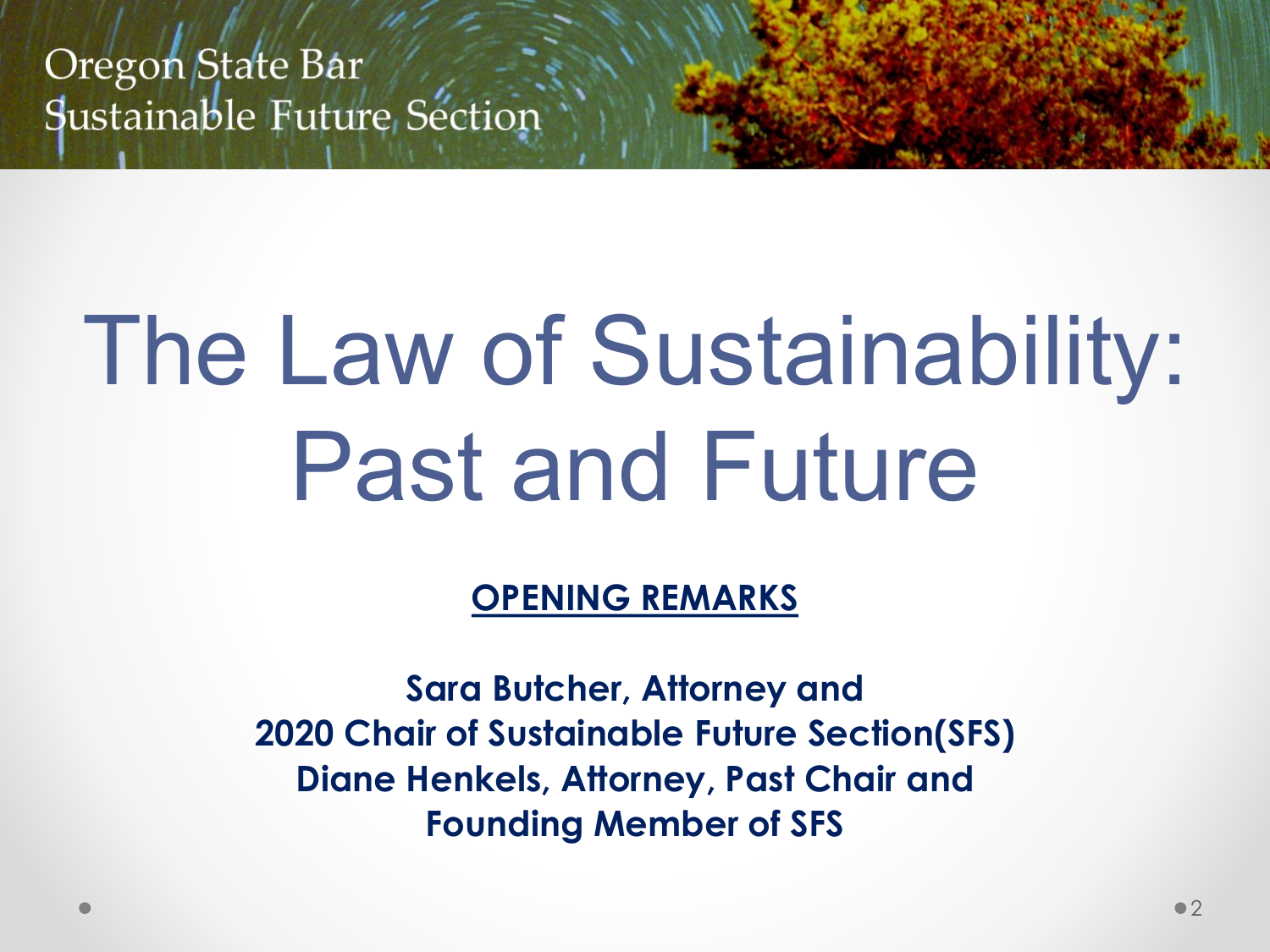# The Law of Sustainability: Past and Future

**OPENING REMARKS** 

**Sara Butcher, Attorney and 2020 Chair of Sustainable Future Section(SFS) Diane Henkels, Attorney, Past Chair and Founding Member of SFS**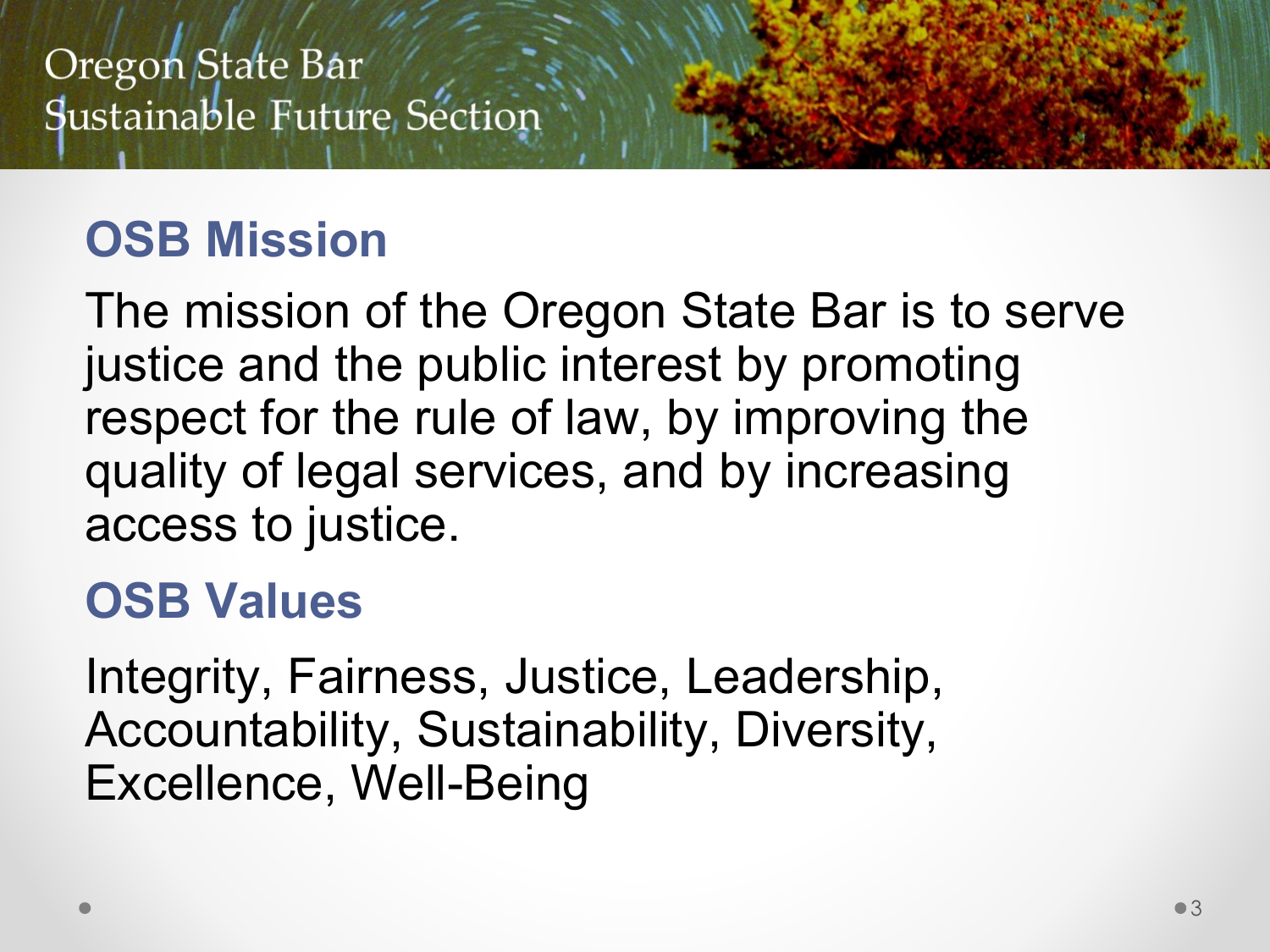# **OSB Mission**

The mission of the Oregon State Bar is to serve justice and the public interest by promoting respect for the rule of law, by improving the quality of legal services, and by increasing access to justice.

## **OSB Values**

Integrity, Fairness, Justice, Leadership, Accountability, Sustainability, Diversity, Excellence, Well-Being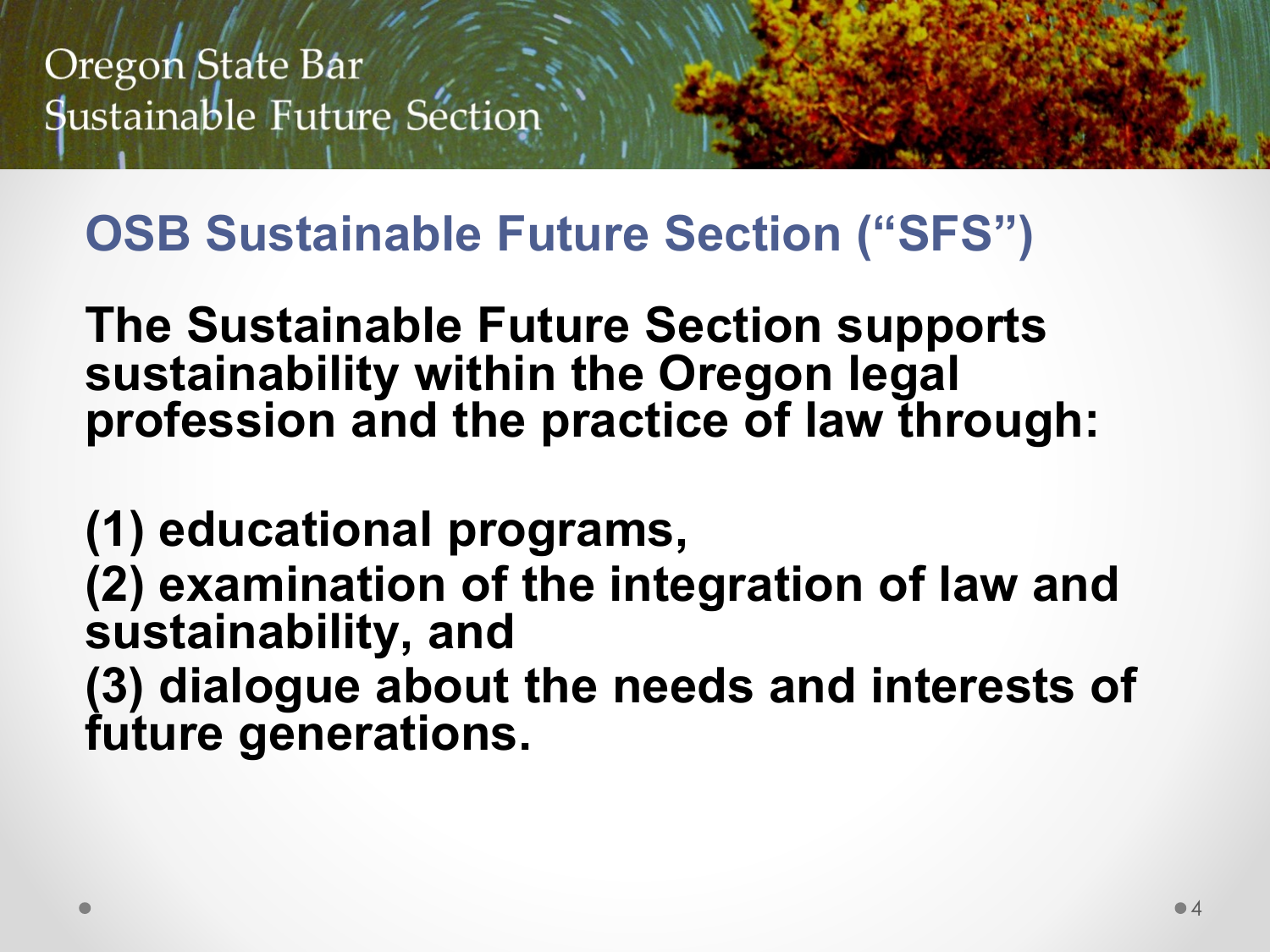# **OSB Sustainable Future Section ("SFS")**

**The Sustainable Future Section supports sustainability within the Oregon legal profession and the practice of law through:**

**(1) educational programs, (2) examination of the integration of law and sustainability, and (3) dialogue about the needs and interests of future generations.**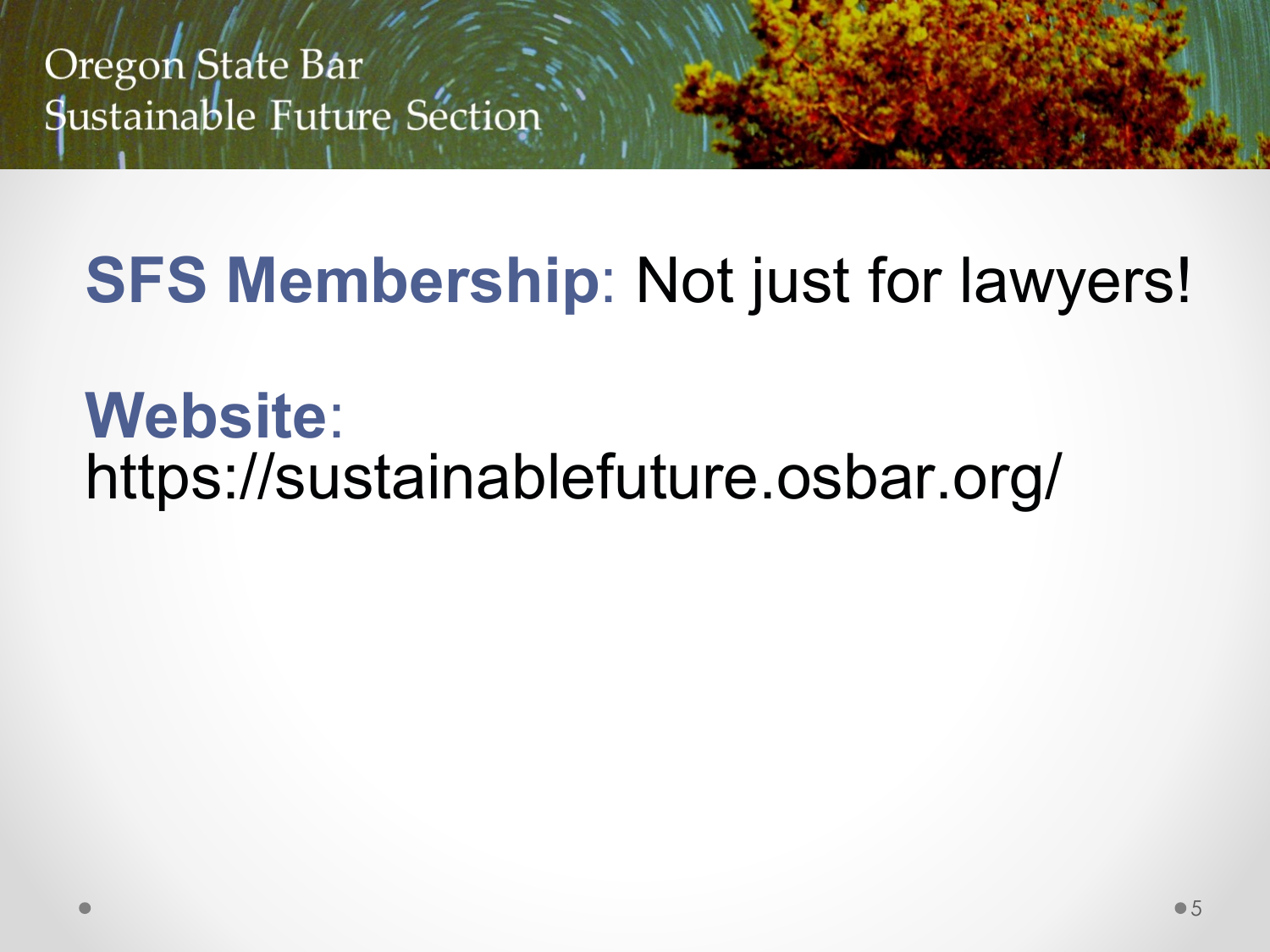# **SFS Membership**: Not just for lawyers!

# **Website**: https://sustainablefuture.osbar.org/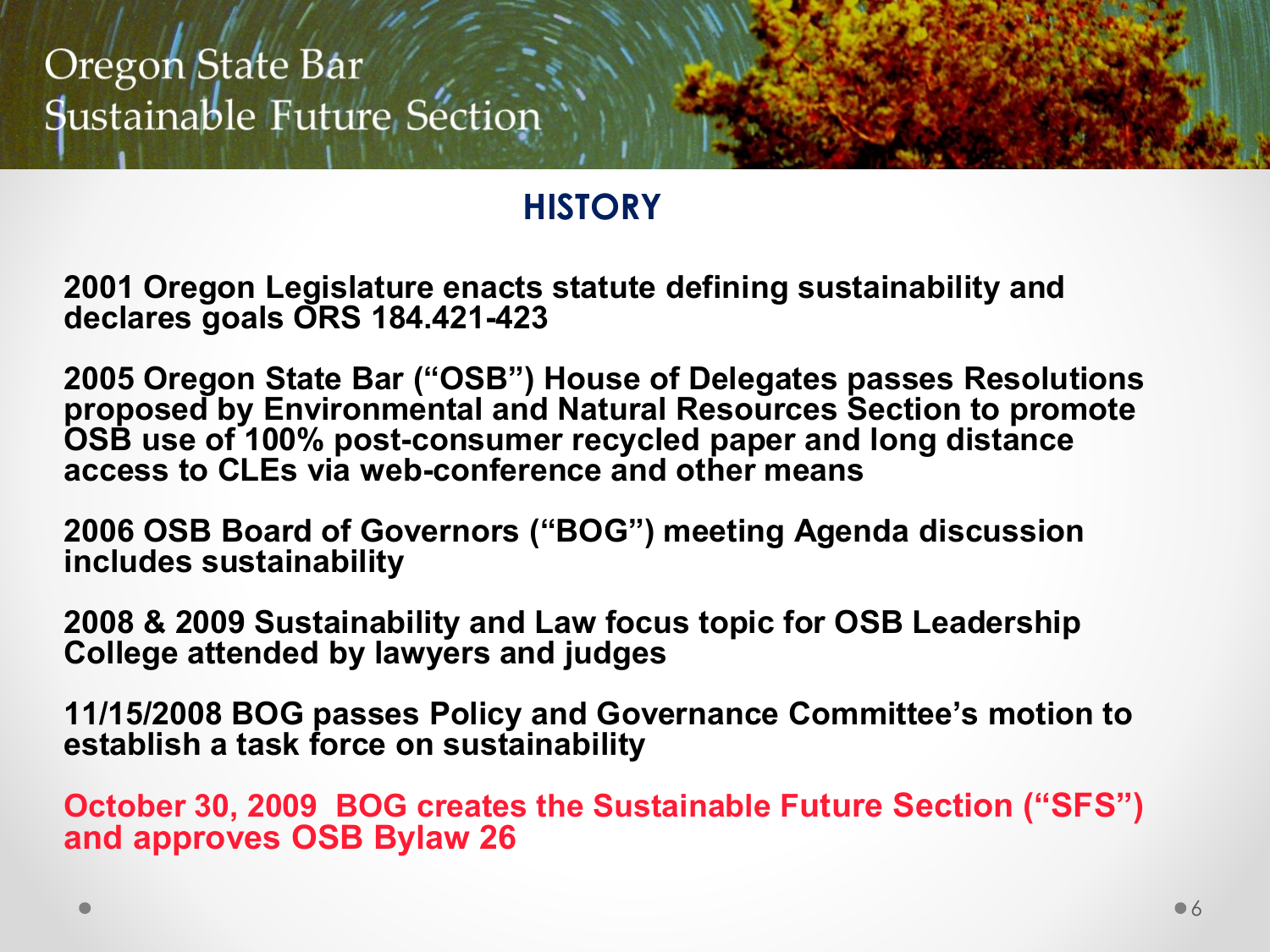#### **HISTORY**

**2001 Oregon Legislature enacts statute defining sustainability and declares goals ORS 184.421-423**

**2005 Oregon State Bar ("OSB") House of Delegates passes Resolutions proposed by Environmental and Natural Resources Section to promote OSB use of 100% post-consumer recycled paper and long distance access to CLEs via web-conference and other means**

**2006 OSB Board of Governors ("BOG") meeting Agenda discussion includes sustainability** 

**2008 & 2009 Sustainability and Law focus topic for OSB Leadership College attended by lawyers and judges**

**11/15/2008 BOG passes Policy and Governance Committee's motion to establish a task force on sustainability** 

**October 30, 2009 BOG creates the Sustainable Future Section ("SFS") and approves OSB Bylaw 26**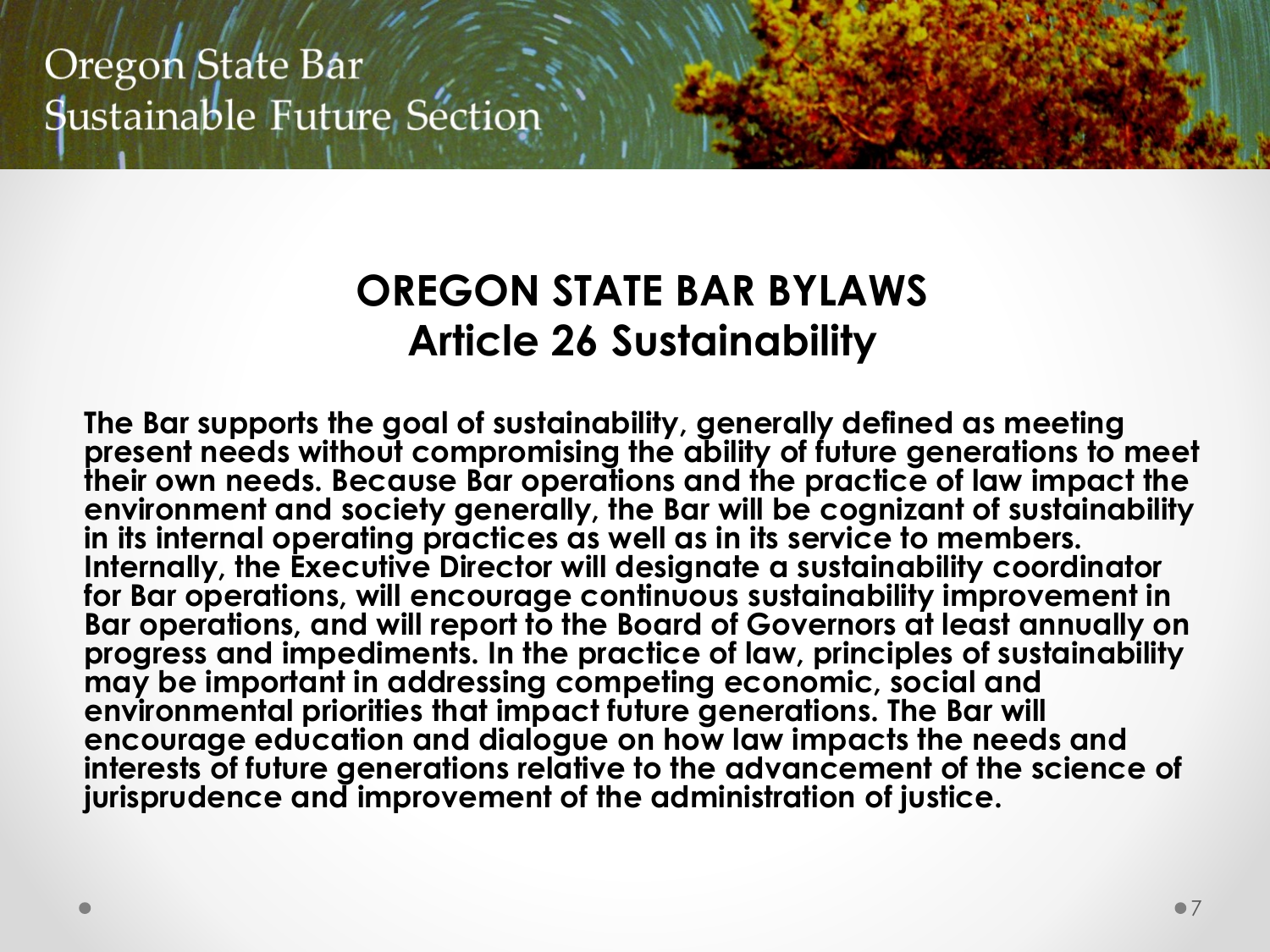#### **OREGON STATE BAR BYLAWS Article 26 Sustainability**

**The Bar supports the goal of sustainability, generally defined as meeting present needs without compromising the ability of future generations to meet their own needs. Because Bar operations and the practice of law impact the environment and society generally, the Bar will be cognizant of sustainability in its internal operating practices as well as in its service to members. Internally, the Executive Director will designate a sustainability coordinator for Bar operations, will encourage continuous sustainability improvement in Bar operations, and will report to the Board of Governors at least annually on progress and impediments. In the practice of law, principles of sustainability may be important in addressing competing economic, social and environmental priorities that impact future generations. The Bar will encourage education and dialogue on how law impacts the needs and interests of future generations relative to the advancement of the science of jurisprudence and improvement of the administration of justice.**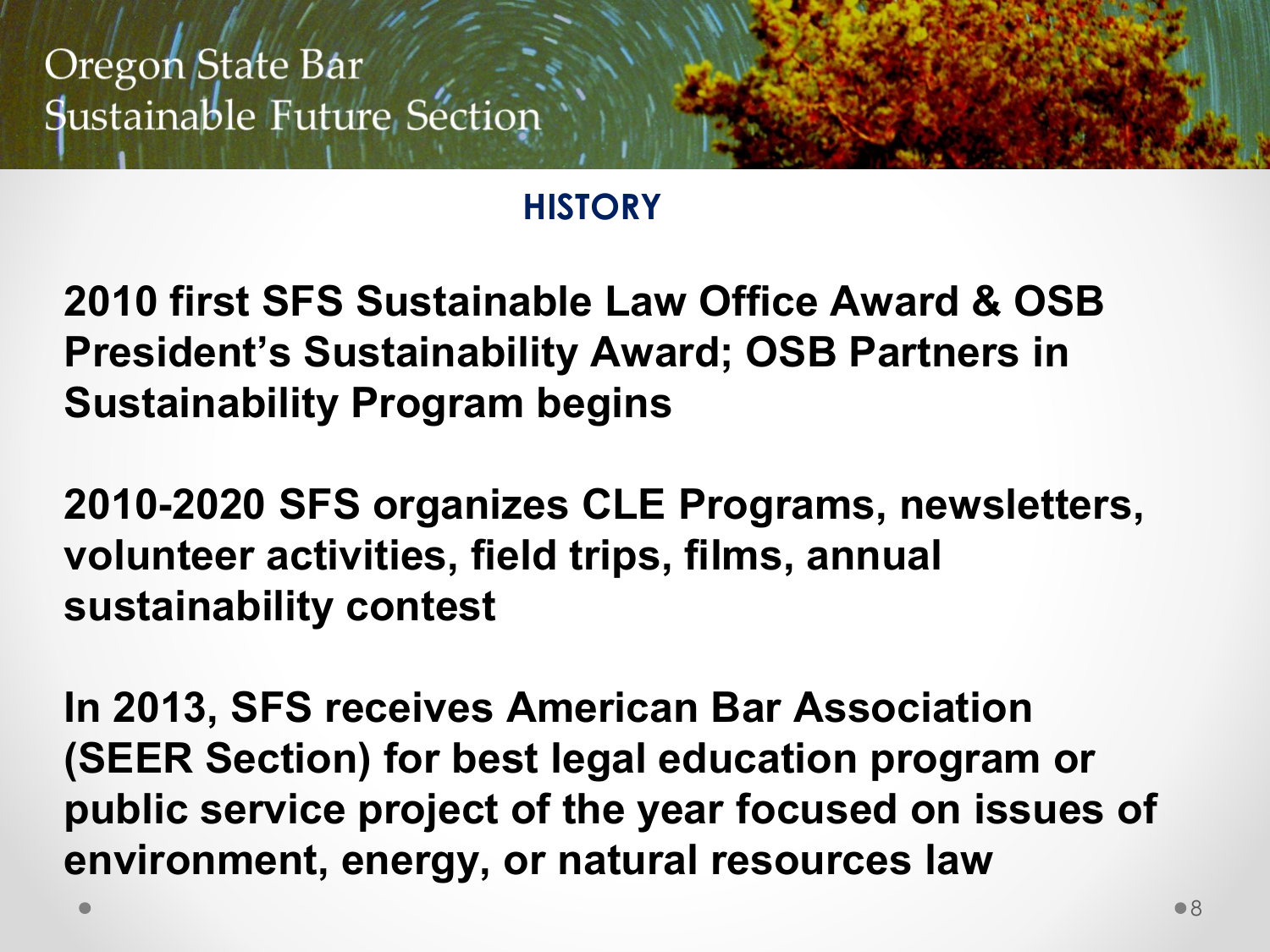#### **HISTORY**

**2010 first SFS Sustainable Law Office Award & OSB President's Sustainability Award; OSB Partners in Sustainability Program begins**

**2010-2020 SFS organizes CLE Programs, newsletters, volunteer activities, field trips, films, annual sustainability contest** 

**In 2013, SFS receives American Bar Association (SEER Section) for best legal education program or public service project of the year focused on issues of environment, energy, or natural resources law**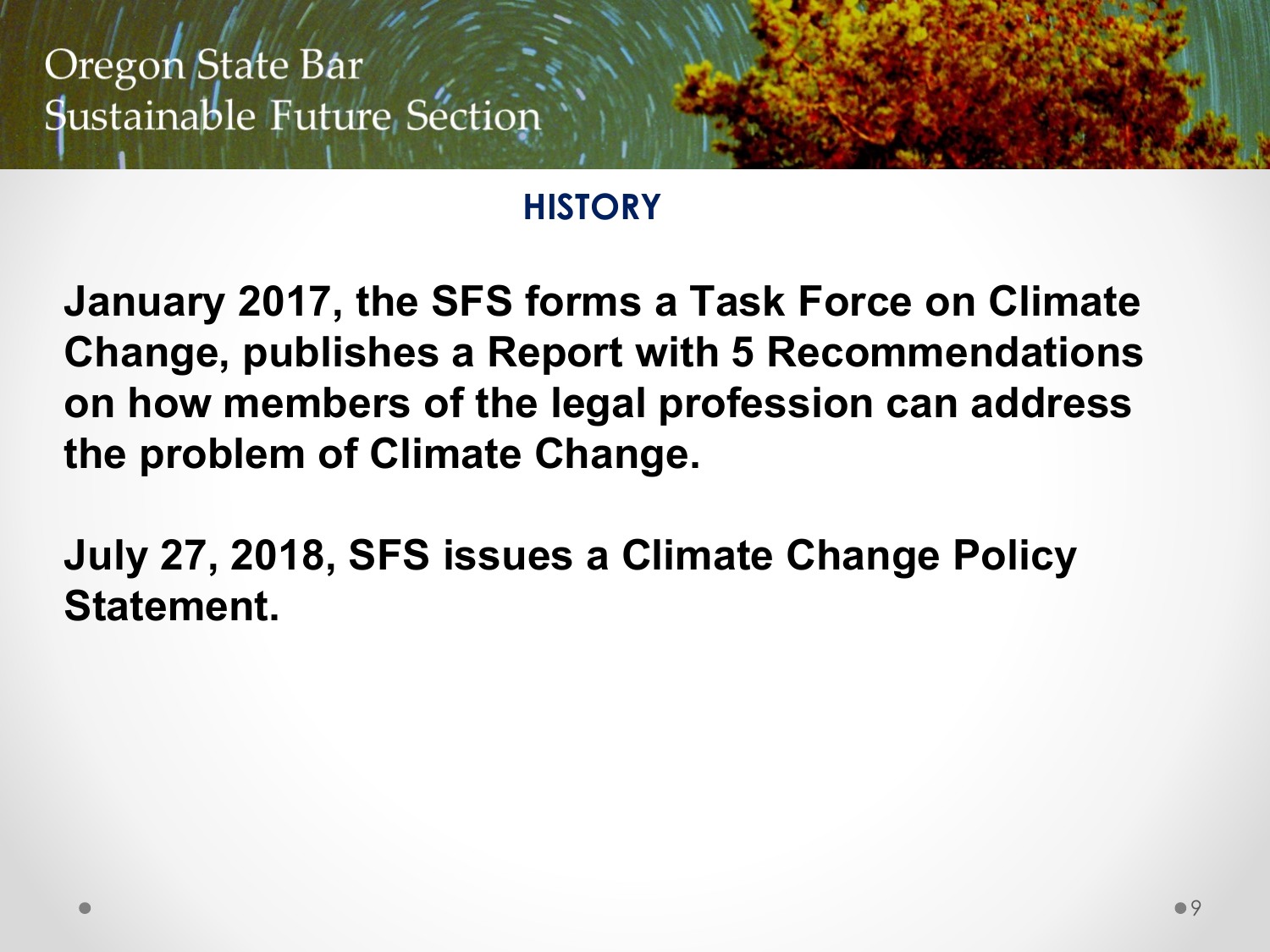#### **HISTORY**

**January 2017, the SFS forms a Task Force on Climate Change, publishes a Report with 5 Recommendations on how members of the legal profession can address the problem of Climate Change.** 

**July 27, 2018, SFS issues a Climate Change Policy Statement.**